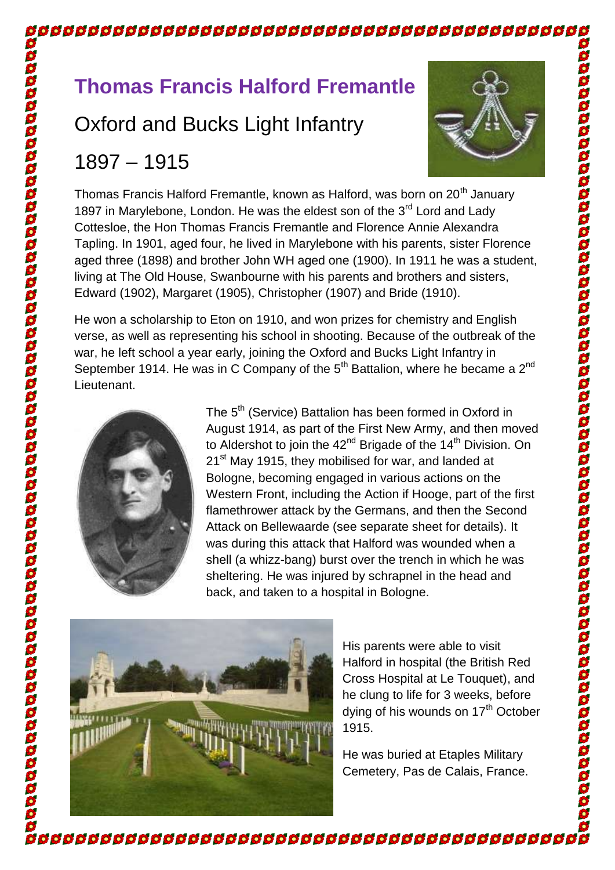# **Thomas Francis Halford Fremantle**

## Oxford and Bucks Light Infantry

### 1897 – 1915



Thomas Francis Halford Fremantle, known as Halford, was born on 20<sup>th</sup> Januarv 1897 in Marylebone. London. He was the eldest son of the 3<sup>rd</sup> Lord and Lady Cottesloe, the Hon Thomas Francis Fremantle and Florence Annie Alexandra Tapling. In 1901, aged four, he lived in Marylebone with his parents, sister Florence aged three (1898) and brother John WH aged one (1900). In 1911 he was a student, living at The Old House, Swanbourne with his parents and brothers and sisters, Edward (1902), Margaret (1905), Christopher (1907) and Bride (1910).

<u>ននននននននននាប្រទេសនាប្រទេសនាប្រព័ន្ធនាងព្រះពុក្ខប្រព័ន្ធនាងព្រះពុក្ខប្រព័ន្ធនា</u>

He won a scholarship to Eton on 1910, and won prizes for chemistry and English verse, as well as representing his school in shooting. Because of the outbreak of the war, he left school a year early, joining the Oxford and Bucks Light Infantry in September 1914. He was in C Company of the  $5<sup>th</sup>$  Battalion, where he became a  $2<sup>nd</sup>$ Lieutenant.



The 5<sup>th</sup> (Service) Battalion has been formed in Oxford in August 1914, as part of the First New Army, and then moved to Aldershot to join the 42<sup>nd</sup> Brigade of the 14<sup>th</sup> Division. On 21<sup>st</sup> May 1915, they mobilised for war, and landed at Bologne, becoming engaged in various actions on the Western Front, including the Action if Hooge, part of the first flamethrower attack by the Germans, and then the Second Attack on Bellewaarde (see separate sheet for details). It was during this attack that Halford was wounded when a shell (a whizz-bang) burst over the trench in which he was sheltering. He was injured by schrapnel in the head and back, and taken to a hospital in Bologne.



His parents were able to visit Halford in hospital (the British Red Cross Hospital at Le Touquet), and he clung to life for 3 weeks, before dying of his wounds on 17<sup>th</sup> October 1915.

He was buried at Etaples Military Cemetery, Pas de Calais, France.